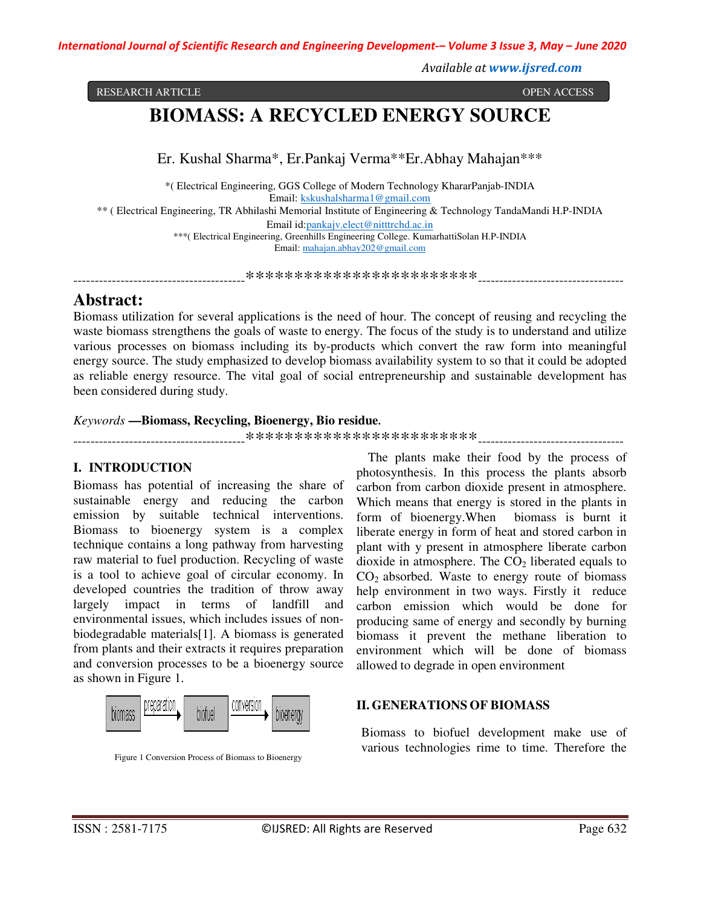*International Journal of Scientific Research and Engineering Development-– Volume 3 Issue 3, May – June 2020*

*Available at www.ijsred.com*

RESEARCH ARTICLE **CONSERVERS IN A SECOND ACCESS** OPEN ACCESS OPEN ACCESS OPEN ACCESS OPEN ACCESS OPEN ACCESS OF A SAMPLE OF A SAMPLE OF A SAMPLE OF A SAMPLE OF A SAMPLE OF A SAMPLE OF A SAMPLE OF A SAMPLE OF A SAMPLE OF A

# **BIOMASS: A RECYCLED ENERGY SOURCE**

Er. Kushal Sharma\*, Er.Pankaj Verma\*\*Er.Abhay Mahajan\*\*\*

\*( Electrical Engineering, GGS College of Modern Technology KhararPanjab-INDIA Email: kskushalsharma1@gmail.com \*\* ( Electrical Engineering, TR Abhilashi Memorial Institute of Engineering & Technology TandaMandi H.P-INDIA Email id:pankajv.elect@nitttrchd.ac.in \*\*\*( Electrical Engineering, Greenhills Engineering College. KumarhattiSolan H.P-INDIA Email: mahajan.abhay202@gmail.com

----------------------------------------\*\*\*\*\*\*\*\*\*\*\*\*\*\*\*\*\*\*\*\*\*\*\*\*----------------------------------

# **Abstract:**

Biomass utilization for several applications is the need of hour. The concept of reusing and recycling the waste biomass strengthens the goals of waste to energy. The focus of the study is to understand and utilize various processes on biomass including its by-products which convert the raw form into meaningful energy source. The study emphasized to develop biomass availability system to so that it could be adopted as reliable energy resource. The vital goal of social entrepreneurship and sustainable development has been considered during study.

## *Keywords* **—Biomass, Recycling, Bioenergy, Bio residue.**

----------------------------------------\*\*\*\*\*\*\*\*\*\*\*\*\*\*\*\*\*\*\*\*\*\*\*\*----------------------------------

## **I. INTRODUCTION**

Biomass has potential of increasing the share of sustainable energy and reducing the carbon emission by suitable technical interventions. Biomass to bioenergy system is a complex technique contains a long pathway from harvesting raw material to fuel production. Recycling of waste is a tool to achieve goal of circular economy. In developed countries the tradition of throw away largely impact in terms of landfill and environmental issues, which includes issues of nonbiodegradable materials[1]. A biomass is generated from plants and their extracts it requires preparation and conversion processes to be a bioenergy source as shown in Figure 1.



Figure 1 Conversion Process of Biomass to Bioenergy

The plants make their food by the process of photosynthesis. In this process the plants absorb carbon from carbon dioxide present in atmosphere. Which means that energy is stored in the plants in form of bioenergy.When biomass is burnt it liberate energy in form of heat and stored carbon in plant with y present in atmosphere liberate carbon dioxide in atmosphere. The  $CO<sub>2</sub>$  liberated equals to  $CO<sub>2</sub>$  absorbed. Waste to energy route of biomass help environment in two ways. Firstly it reduce carbon emission which would be done for producing same of energy and secondly by burning biomass it prevent the methane liberation to environment which will be done of biomass allowed to degrade in open environment

## **II. GENERATIONS OF BIOMASS**

Biomass to biofuel development make use of various technologies rime to time. Therefore the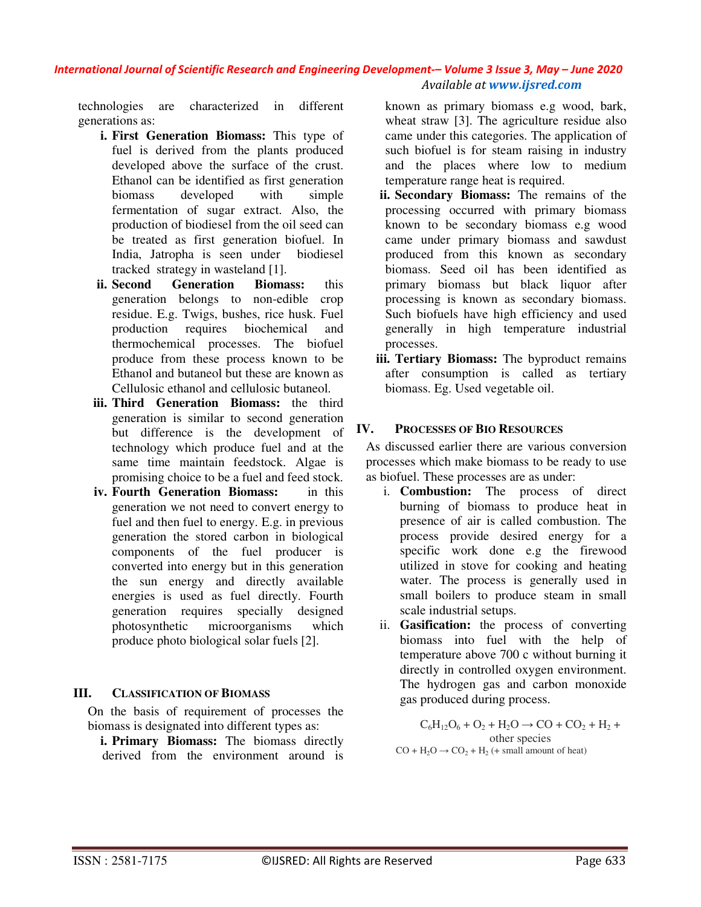## *International Journal of Scientific Research and Engineering Development-– Volume 3 Issue 3, May – June 2020 Available at www.ijsred.com*

technologies are characterized in different generations as:

- **i. First Generation Biomass:** This type of fuel is derived from the plants produced developed above the surface of the crust. Ethanol can be identified as first generation biomass developed with simple fermentation of sugar extract. Also, the production of biodiesel from the oil seed can be treated as first generation biofuel. In India, Jatropha is seen under biodiesel tracked strategy in wasteland [1].
- **ii. Second Generation Biomass:** this generation belongs to non-edible crop residue. E.g. Twigs, bushes, rice husk. Fuel production requires biochemical and thermochemical processes. The biofuel produce from these process known to be Ethanol and butaneol but these are known as Cellulosic ethanol and cellulosic butaneol.
- **iii. Third Generation Biomass:** the third generation is similar to second generation but difference is the development of technology which produce fuel and at the same time maintain feedstock. Algae is promising choice to be a fuel and feed stock.
- **iv. Fourth Generation Biomass:** in this generation we not need to convert energy to fuel and then fuel to energy. E.g. in previous generation the stored carbon in biological components of the fuel producer is converted into energy but in this generation the sun energy and directly available energies is used as fuel directly. Fourth generation requires specially designed photosynthetic microorganisms which produce photo biological solar fuels [2].

## **III. CLASSIFICATION OF BIOMASS**

On the basis of requirement of processes the biomass is designated into different types as:

**i. Primary Biomass:** The biomass directly derived from the environment around is known as primary biomass e.g wood, bark, wheat straw [3]. The agriculture residue also came under this categories. The application of such biofuel is for steam raising in industry and the places where low to medium temperature range heat is required.

- **ii. Secondary Biomass:** The remains of the processing occurred with primary biomass known to be secondary biomass e.g wood came under primary biomass and sawdust produced from this known as secondary biomass. Seed oil has been identified as primary biomass but black liquor after processing is known as secondary biomass. Such biofuels have high efficiency and used generally in high temperature industrial processes.
- **iii. Tertiary Biomass:** The byproduct remains after consumption is called as tertiary biomass. Eg. Used vegetable oil.

## **IV. PROCESSES OF BIO RESOURCES**

As discussed earlier there are various conversion processes which make biomass to be ready to use as biofuel. These processes are as under:

- i. **Combustion:** The process of direct burning of biomass to produce heat in presence of air is called combustion. The process provide desired energy for a specific work done e.g the firewood utilized in stove for cooking and heating water. The process is generally used in small boilers to produce steam in small scale industrial setups.
- ii. **Gasification:** the process of converting biomass into fuel with the help of temperature above 700 c without burning it directly in controlled oxygen environment. The hydrogen gas and carbon monoxide gas produced during process.

 $C_6H_{12}O_6 + O_2 + H_2O \rightarrow CO + CO_2 + H_2 +$ other species  $CO + H<sub>2</sub>O \rightarrow CO<sub>2</sub> + H<sub>2</sub>$  (+ small amount of heat)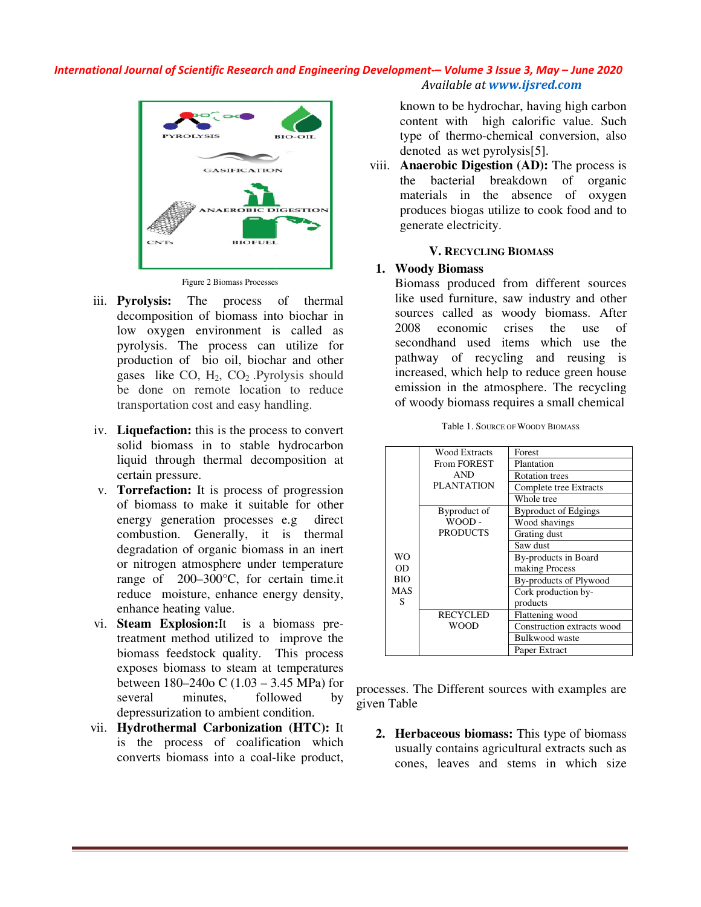*International Journal of Scientific Research and Engineering Development Development-– Volume 3 Issue 3 3, May – June 2020 Available at www.ijsred.com*



Figure 2 Biomass Processes

- iii. **Pyrolysis:** The process of thermal decomposition of biomass into biochar in low oxygen environment is called as pyrolysis. The process can utilize for production of bio oil, biochar and other gases like  $CO$ ,  $H_2$ ,  $CO_2$ . Pyrolysis should be done on remote location to reduce transportation cost and easy handling.
- iv. **Liquefaction:** this is the process to convert solid biomass in to stable hydrocarbon liquid through thermal decomposition at certain pressure.
- v. **Torrefaction:** It is process of progression of biomass to make it suitable for other energy generation processes e.g direct combustion. Generally, it is thermal degradation of organic biomass in an inert or nitrogen atmosphere under temperature range of 200–300°C, for certain time.it reduce moisture, enhance energy density, enhance heating value. decomposition of biomass into biochar in<br>low oxygen environment is called as<br>lyvolysis. The process can utilize for<br>production of bio oil, biochar and other<br>gases like CO, H<sub>2</sub>, CO<sub>2</sub>. Pyrolysis should<br>be done on remote lo quefaction: this is the process to convert<br>lid biomass in to stable hydrocarbon<br>quid through thermal decomposition at<br>rtain pressure.<br>**Developent Summer Section**: It is processes e.g direct<br>mbustion. Generally, it is therm
- vi. **Steam Explosion:**It is a bioma treatment method utilized to improve the biomass feedstock quality. This process exposes biomass to steam at temperatures between 180–240o C (1.03 – 3.45 MPa) for several minutes, followed by depressurization to ambient condition. t method utilized to improve the feedstock quality. This process<br>biomass to steam at temperatures<br> $180-240$ o C  $(1.03 - 3.45 \text{ MPa})$  for
- vii. Hydrothermal Carbonization (HTC): It is the process of coalification which is the process of coalification which<br>converts biomass into a coal-like product,

known to be hydrochar, having high carbon content with high calorific value. Such type of thermo-chemical conversion, also denoted as wet pyrolysis[5]. known to be hydrochar, having high ca<br>content with high calorific value. \;<br>type of thermo-chemical conversion,<br>denoted as wet pyrolysis[5].

viii. **Anaerobic Digestion (AD):** The process is the bacterial breakdown of organic materials in the absence of oxygen produces biogas utilize to cook food and to generate electricity. the bacterial broaterials<br>materials in the<br>produces biogas uti

#### **V. RECYCLING BIOMASS IOMASS**

#### **1. Woody Biomass**

Biomass produced from different sources like used furniture, saw industry and other sources called as woody biomass. After 2008 economic crises the use of secondhand used items which use the pathway of recycling and reusing is increased, which help to reduce green house emission in the atmosphere. The recycling of woody biomass requires a small chemical Biomass produced from different sources<br>like used furniture, saw industry and other<br>sources called as woody biomass. After<br>2008 economic crises the use of<br>secondhand used items which use the<br>pathway of recycling and reusin

|                                                                                                                                            | <b>WO</b><br>OD<br><b>BIO</b><br><b>MAS</b><br>S | <b>Wood Extracts</b> | Forest                      |  |  |  |
|--------------------------------------------------------------------------------------------------------------------------------------------|--------------------------------------------------|----------------------|-----------------------------|--|--|--|
|                                                                                                                                            |                                                  | <b>From FOREST</b>   | Plantation                  |  |  |  |
|                                                                                                                                            |                                                  | <b>AND</b>           | <b>Rotation</b> trees       |  |  |  |
|                                                                                                                                            |                                                  | <b>PLANTATION</b>    | Complete tree Extracts      |  |  |  |
|                                                                                                                                            |                                                  |                      | Whole tree                  |  |  |  |
|                                                                                                                                            |                                                  | Byproduct of         | <b>Byproduct of Edgings</b> |  |  |  |
|                                                                                                                                            |                                                  | WOOD-                | Wood shavings               |  |  |  |
|                                                                                                                                            |                                                  | <b>PRODUCTS</b>      | Grating dust                |  |  |  |
|                                                                                                                                            |                                                  |                      | Saw dust                    |  |  |  |
|                                                                                                                                            |                                                  |                      | By-products in Board        |  |  |  |
|                                                                                                                                            |                                                  |                      | making Process              |  |  |  |
|                                                                                                                                            |                                                  |                      | By-products of Plywood      |  |  |  |
|                                                                                                                                            |                                                  |                      | Cork production by-         |  |  |  |
|                                                                                                                                            |                                                  |                      | products                    |  |  |  |
|                                                                                                                                            |                                                  | <b>RECYCLED</b>      | Flattening wood             |  |  |  |
|                                                                                                                                            |                                                  | <b>WOOD</b>          | Construction extracts wood  |  |  |  |
|                                                                                                                                            |                                                  |                      | Bulkwood waste              |  |  |  |
|                                                                                                                                            |                                                  |                      | Paper Extract               |  |  |  |
| esses. The Different sources with examples are<br>ı Table                                                                                  |                                                  |                      |                             |  |  |  |
| <b>Herbaceous biomass:</b> This type of biomass<br>usually contains agricultural extracts such as<br>cones, leaves and stems in which size |                                                  |                      |                             |  |  |  |

Table 1. SOURCE OF W OODY BIOMASS

processes. The Different sources with examples are given Table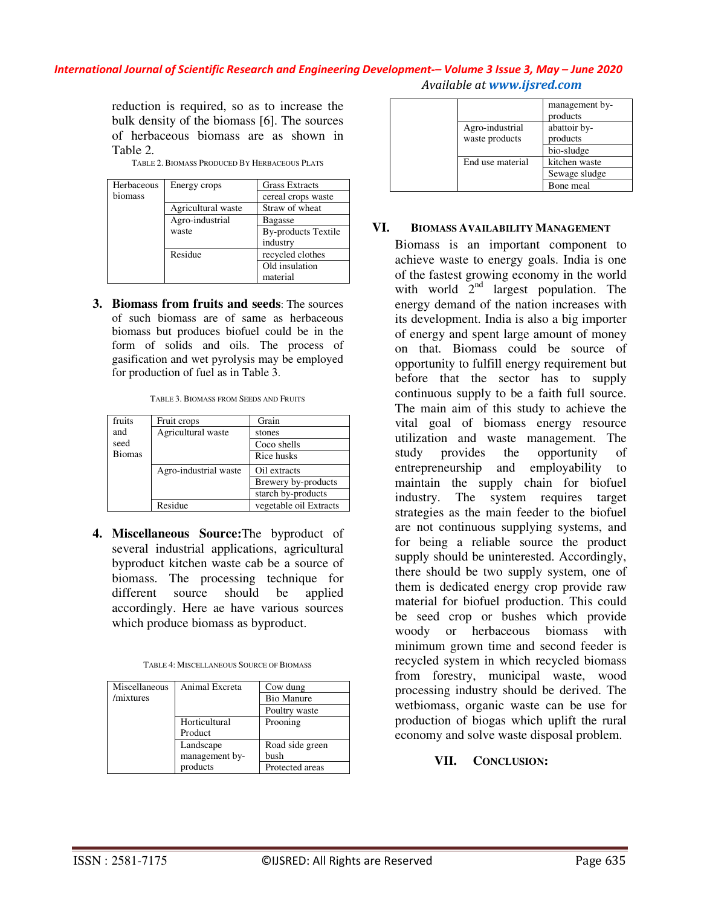#### *International Journal of Scientific Research and Engineering Development-– Volume 3 Issue 3, May – June 2020 Available at www.ijsred.com*

reduction is required, so as to increase the bulk density of the biomass [6]. The sources of herbaceous biomass are as shown in Table 2.

| Herbaceous | Energy crops       | <b>Grass Extracts</b>      |
|------------|--------------------|----------------------------|
| biomass    |                    | cereal crops waste         |
|            | Agricultural waste | Straw of wheat             |
|            | Agro-industrial    | <b>Bagasse</b>             |
|            | waste              | <b>By-products Textile</b> |
|            |                    | industry                   |
|            | Residue            | recycled clothes           |
|            |                    | Old insulation             |
|            |                    | material                   |

TABLE 2. BIOMASS PRODUCED BY HERBACEOUS PLATS

**3. Biomass from fruits and seeds**: The sources of such biomass are of same as herbaceous biomass but produces biofuel could be in the form of solids and oils. The process of gasification and wet pyrolysis may be employed for production of fuel as in Table 3.

| fruits        | Fruit crops           | Grain                  |
|---------------|-----------------------|------------------------|
| and           | Agricultural waste    | stones                 |
| seed          |                       | Coco shells            |
| <b>Biomas</b> |                       | Rice husks             |
|               | Agro-industrial waste | Oil extracts           |
|               |                       | Brewery by-products    |
|               |                       | starch by-products     |
|               | Residue               | vegetable oil Extracts |

| TABLE 3. BIOMASS FROM SEEDS AND FRUITS |
|----------------------------------------|
|----------------------------------------|

**4. Miscellaneous Source:**The byproduct of several industrial applications, agricultural byproduct kitchen waste cab be a source of biomass. The processing technique for different source should be applied accordingly. Here ae have various sources which produce biomass as byproduct.

| Miscellaneous | Animal Excreta | Cow dung          |
|---------------|----------------|-------------------|
| /mixtures     |                | <b>Bio Manure</b> |
|               |                | Poultry waste     |
|               | Horticultural  | Prooning          |
|               | Product        |                   |
|               | Landscape      | Road side green   |
|               | management by- | bush              |
|               | products       | Protected areas   |

|                                   | management by-<br>products |
|-----------------------------------|----------------------------|
| Agro-industrial<br>waste products | abattoir by-<br>products   |
|                                   | bio-sludge                 |
| End use material                  | kitchen waste              |
|                                   | Sewage sludge              |
|                                   | Bone meal                  |

#### **VI. BIOMASS AVAILABILITY MANAGEMENT**

Biomass is an important component to achieve waste to energy goals. India is one of the fastest growing economy in the world with world  $2<sup>nd</sup>$  largest population. The energy demand of the nation increases with its development. India is also a big importer of energy and spent large amount of money on that. Biomass could be source of opportunity to fulfill energy requirement but before that the sector has to supply continuous supply to be a faith full source. The main aim of this study to achieve the vital goal of biomass energy resource utilization and waste management. The study provides the opportunity of entrepreneurship and employability to maintain the supply chain for biofuel industry. The system requires target strategies as the main feeder to the biofuel are not continuous supplying systems, and for being a reliable source the product supply should be uninterested. Accordingly, there should be two supply system, one of them is dedicated energy crop provide raw material for biofuel production. This could be seed crop or bushes which provide woody or herbaceous biomass with minimum grown time and second feeder is recycled system in which recycled biomass from forestry, municipal waste, wood processing industry should be derived. The wetbiomass, organic waste can be use for production of biogas which uplift the rural economy and solve waste disposal problem.

## **VII. CONCLUSION:**